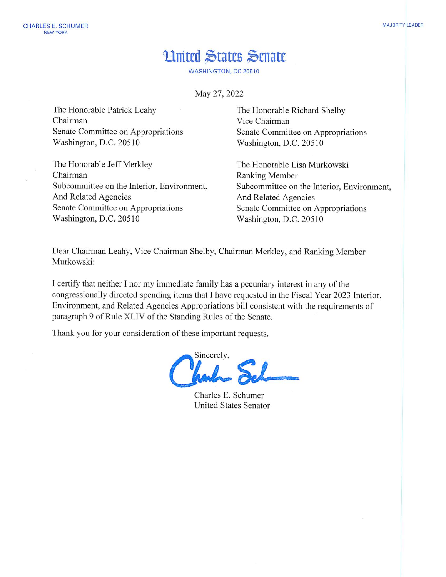## **Hnited States Senate**

**WASHINGTON, DC 20510** 

May 27, 2022

The Honorable Patrick Leahy Chairman Senate Committee on Appropriations Washington, D.C. 20510

The Honorable Jeff Merkley Chairman Subcommittee on the Interior, Environment, And Related Agencies Senate Committee on Appropriations Washington, D.C. 20510

The Honorable Richard Shelby Vice Chairman Senate Committee on Appropriations Washington, D.C. 20510

The Honorable Lisa Murkowski Ranking Member Subcommittee on the Interior, Environment, And Related Agencies Senate Committee on Appropriations Washington, D.C. 20510

Dear Chairman Leahy, Vice Chairman Shelby, Chairman Merkley, and Ranking Member Murkowski:

I certify that neither I nor my immediate family has a pecuniary interest in any of the congressionally directed spending items that I have requested in the Fiscal Year 2023 Interior, Environment, and Related Agencies Appropriations bill consistent with the requirements of paragraph 9 of Rule XLIV of the Standing Rules of the Senate.

Thank you for your consideration of these important requests.

Sincerely,

Charles E. Schumer **United States Senator**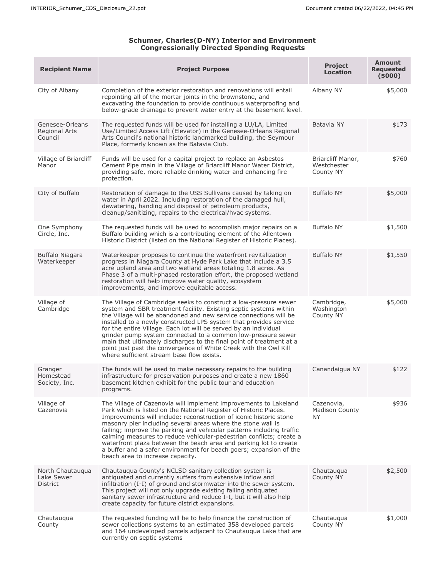## **Schumer, Charles(D-NY) Interior and Environment Congressionally Directed Spending Requests**

| <b>Recipient Name</b>                       | <b>Project Purpose</b>                                                                                                                                                                                                                                                                                                                                                                                                                                                                                                                                                                                       | <b>Project</b><br><b>Location</b>             | <b>Amount</b><br><b>Requested</b><br>(5000) |
|---------------------------------------------|--------------------------------------------------------------------------------------------------------------------------------------------------------------------------------------------------------------------------------------------------------------------------------------------------------------------------------------------------------------------------------------------------------------------------------------------------------------------------------------------------------------------------------------------------------------------------------------------------------------|-----------------------------------------------|---------------------------------------------|
| City of Albany                              | Completion of the exterior restoration and renovations will entail<br>repointing all of the mortar joints in the brownstone, and<br>excavating the foundation to provide continuous waterproofing and<br>below-grade drainage to prevent water entry at the basement level.                                                                                                                                                                                                                                                                                                                                  | Albany NY                                     | \$5,000                                     |
| Genesee-Orleans<br>Regional Arts<br>Council | The requested funds will be used for installing a LU/LA, Limited<br>Use/Limited Access Lift (Elevator) in the Genesee-Orleans Regional<br>Arts Council's national historic landmarked building, the Seymour<br>Place, formerly known as the Batavia Club.                                                                                                                                                                                                                                                                                                                                                    | Batavia NY                                    | \$173                                       |
| Village of Briarcliff<br>Manor              | Funds will be used for a capital project to replace an Asbestos<br>Cement Pipe main in the Village of Briarcliff Manor Water District,<br>providing safe, more reliable drinking water and enhancing fire<br>protection.                                                                                                                                                                                                                                                                                                                                                                                     | Briarcliff Manor,<br>Westchester<br>County NY | \$760                                       |
| City of Buffalo                             | Restoration of damage to the USS Sullivans caused by taking on<br>water in April 2022. Including restoration of the damaged hull,<br>dewatering, handing and disposal of petroleum products,<br>cleanup/sanitizing, repairs to the electrical/hvac systems.                                                                                                                                                                                                                                                                                                                                                  | <b>Buffalo NY</b>                             | \$5,000                                     |
| One Symphony<br>Circle, Inc.                | The requested funds will be used to accomplish major repairs on a<br>Buffalo building which is a contributing element of the Allentown<br>Historic District (listed on the National Register of Historic Places).                                                                                                                                                                                                                                                                                                                                                                                            | <b>Buffalo NY</b>                             | \$1,500                                     |
| Buffalo Niagara<br>Waterkeeper              | Waterkeeper proposes to continue the waterfront revitalization<br>progress in Niagara County at Hyde Park Lake that include a 3.5<br>acre upland area and two wetland areas totaling 1.8 acres. As<br>Phase 3 of a multi-phased restoration effort, the proposed wetland<br>restoration will help improve water quality, ecosystem<br>improvements, and improve equitable access.                                                                                                                                                                                                                            | <b>Buffalo NY</b>                             | \$1,550                                     |
| Village of<br>Cambridge                     | The Village of Cambridge seeks to construct a low-pressure sewer<br>system and SBR treatment facility. Existing septic systems within<br>the Village will be abandoned and new service connections will be<br>installed to a newly constructed LPS system that provides service<br>for the entire Village. Each lot will be served by an individual<br>grinder pump system connected to a common low-pressure sewer<br>main that ultimately discharges to the final point of treatment at a<br>point just past the convergence of White Creek with the Owl Kill<br>where sufficient stream base flow exists. | Cambridge,<br>Washington<br>County NY         | \$5,000                                     |
| Granger<br>Homestead<br>Society, Inc.       | The funds will be used to make necessary repairs to the building<br>infrastructure for preservation purposes and create a new 1860<br>basement kitchen exhibit for the public tour and education<br>programs.                                                                                                                                                                                                                                                                                                                                                                                                | Canandaigua NY                                | \$122                                       |
| Village of<br>Cazenovia                     | The Village of Cazenovia will implement improvements to Lakeland<br>Park which is listed on the National Register of Historic Places.<br>Improvements will include: reconstruction of iconic historic stone<br>masonry pier including several areas where the stone wall is<br>failing; improve the parking and vehicular patterns including traffic<br>calming measures to reduce vehicular-pedestrian conflicts; create a<br>waterfront plaza between the beach area and parking lot to create<br>a buffer and a safer environment for beach goers; expansion of the<br>beach area to increase capacity.   | Cazenovia,<br><b>Madison County</b><br>ΝY     | \$936                                       |
| North Chautaugua<br>Lake Sewer<br>District  | Chautaugua County's NCLSD sanitary collection system is<br>antiquated and currently suffers from extensive inflow and<br>infiltration (I-I) of ground and stormwater into the sewer system.<br>This project will not only upgrade existing failing antiquated<br>sanitary sewer infrastructure and reduce I-I, but it will also help<br>create capacity for future district expansions.                                                                                                                                                                                                                      | Chautauqua<br>County NY                       | \$2,500                                     |
| Chautauqua<br>County                        | The requested funding will be to help finance the construction of<br>sewer collections systems to an estimated 358 developed parcels<br>and 164 undeveloped parcels adjacent to Chautauqua Lake that are<br>currently on septic systems                                                                                                                                                                                                                                                                                                                                                                      | Chautauqua<br>County NY                       | \$1,000                                     |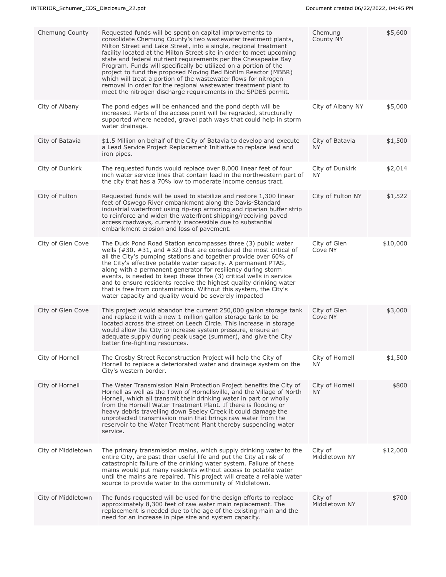| Chemung County     | Requested funds will be spent on capital improvements to<br>consolidate Chemung County's two wastewater treatment plants,<br>Milton Street and Lake Street, into a single, regional treatment<br>facility located at the Milton Street site in order to meet upcoming<br>state and federal nutrient requirements per the Chesapeake Bay<br>Program. Funds will specifically be utilized on a portion of the<br>project to fund the proposed Moving Bed Biofilm Reactor (MBBR)<br>which will treat a portion of the wastewater flows for nitrogen<br>removal in order for the regional wastewater treatment plant to<br>meet the nitrogen discharge requirements in the SPDES permit. | Chemung<br>County NY         | \$5,600  |
|--------------------|--------------------------------------------------------------------------------------------------------------------------------------------------------------------------------------------------------------------------------------------------------------------------------------------------------------------------------------------------------------------------------------------------------------------------------------------------------------------------------------------------------------------------------------------------------------------------------------------------------------------------------------------------------------------------------------|------------------------------|----------|
| City of Albany     | The pond edges will be enhanced and the pond depth will be<br>increased. Parts of the access point will be regraded, structurally<br>supported where needed, gravel path ways that could help in storm<br>water drainage.                                                                                                                                                                                                                                                                                                                                                                                                                                                            | City of Albany NY            | \$5,000  |
| City of Batavia    | \$1.5 Million on behalf of the City of Batavia to develop and execute<br>a Lead Service Project Replacement Initiative to replace lead and<br>iron pipes.                                                                                                                                                                                                                                                                                                                                                                                                                                                                                                                            | City of Batavia<br><b>NY</b> | \$1,500  |
| City of Dunkirk    | The requested funds would replace over 8,000 linear feet of four<br>inch water service lines that contain lead in the northwestern part of<br>the city that has a 70% low to moderate income census tract.                                                                                                                                                                                                                                                                                                                                                                                                                                                                           | City of Dunkirk<br><b>NY</b> | \$2,014  |
| City of Fulton     | Requested funds will be used to stabilize and restore 1,300 linear<br>feet of Oswego River embankment along the Davis-Standard<br>industrial waterfront using rip-rap armoring and riparian buffer strip<br>to reinforce and widen the waterfront shipping/receiving paved<br>access roadways, currently inaccessible due to substantial<br>embankment erosion and loss of pavement.                                                                                                                                                                                                                                                                                                 | City of Fulton NY            | \$1,522  |
| City of Glen Cove  | The Duck Pond Road Station encompasses three (3) public water<br>wells (#30, #31, and #32) that are considered the most critical of<br>all the City's pumping stations and together provide over 60% of<br>the City's effective potable water capacity. A permanent PTAS,<br>along with a permanent generator for resiliency during storm<br>events, is needed to keep these three (3) critical wells in service<br>and to ensure residents receive the highest quality drinking water<br>that is free from contamination. Without this system, the City's<br>water capacity and quality would be severely impacted                                                                  | City of Glen<br>Cove NY      | \$10,000 |
| City of Glen Cove  | This project would abandon the current 250,000 gallon storage tank<br>and replace it with a new 1 million gallon storage tank to be<br>located across the street on Leech Circle. This increase in storage<br>would allow the City to increase system pressure, ensure an<br>adequate supply during peak usage (summer), and give the City<br>better fire-fighting resources.                                                                                                                                                                                                                                                                                                        | City of Glen<br>Cove NY      | \$3,000  |
| City of Hornell    | The Crosby Street Reconstruction Project will help the City of<br>Hornell to replace a deteriorated water and drainage system on the<br>City's western border.                                                                                                                                                                                                                                                                                                                                                                                                                                                                                                                       | City of Hornell<br>ΝY        | \$1,500  |
| City of Hornell    | The Water Transmission Main Protection Project benefits the City of<br>Hornell as well as the Town of Hornellsville, and the Village of North<br>Hornell, which all transmit their drinking water in part or wholly<br>from the Hornell Water Treatment Plant. If there is flooding or<br>heavy debris travelling down Seeley Creek it could damage the<br>unprotected transmission main that brings raw water from the<br>reservoir to the Water Treatment Plant thereby suspending water<br>service.                                                                                                                                                                               | City of Hornell<br><b>NY</b> | \$800    |
| City of Middletown | The primary transmission mains, which supply drinking water to the<br>entire City, are past their useful life and put the City at risk of<br>catastrophic failure of the drinking water system. Failure of these<br>mains would put many residents without access to potable water<br>until the mains are repaired. This project will create a reliable water<br>source to provide water to the community of Middletown.                                                                                                                                                                                                                                                             | City of<br>Middletown NY     | \$12,000 |
| City of Middletown | The funds requested will be used for the design efforts to replace<br>approximately 8,300 feet of raw water main replacement. The<br>replacement is needed due to the age of the existing main and the<br>need for an increase in pipe size and system capacity.                                                                                                                                                                                                                                                                                                                                                                                                                     | City of<br>Middletown NY     | \$700    |
|                    |                                                                                                                                                                                                                                                                                                                                                                                                                                                                                                                                                                                                                                                                                      |                              |          |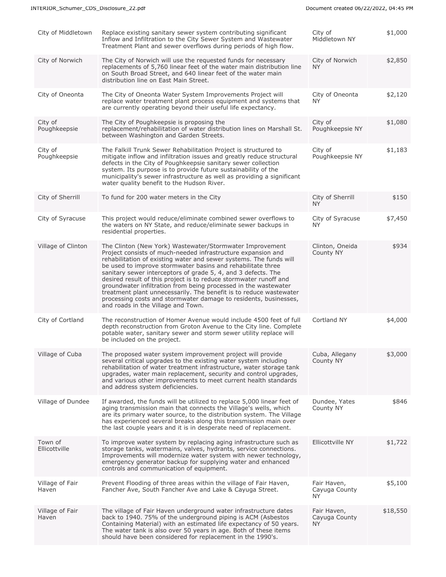| Replace existing sanitary sewer system contributing significant<br>Inflow and Infiltration to the City Sewer System and Wastewater<br>Treatment Plant and sewer overflows during periods of high flow.                                                                                                                                                                                                                                                                                                                                                                                                                                                 | City of<br>Middletown NY                  | \$1,000  |
|--------------------------------------------------------------------------------------------------------------------------------------------------------------------------------------------------------------------------------------------------------------------------------------------------------------------------------------------------------------------------------------------------------------------------------------------------------------------------------------------------------------------------------------------------------------------------------------------------------------------------------------------------------|-------------------------------------------|----------|
| The City of Norwich will use the requested funds for necessary<br>replacements of 5,760 linear feet of the water main distribution line<br>on South Broad Street, and 640 linear feet of the water main<br>distribution line on East Main Street.                                                                                                                                                                                                                                                                                                                                                                                                      | City of Norwich<br>ΝY                     | \$2,850  |
| The City of Oneonta Water System Improvements Project will<br>replace water treatment plant process equipment and systems that<br>are currently operating beyond their useful life expectancy.                                                                                                                                                                                                                                                                                                                                                                                                                                                         | City of Oneonta<br>NY.                    | \$2,120  |
| The City of Poughkeepsie is proposing the<br>replacement/rehabilitation of water distribution lines on Marshall St.<br>between Washington and Garden Streets.                                                                                                                                                                                                                                                                                                                                                                                                                                                                                          | City of<br>Poughkeepsie NY                | \$1,080  |
| The Falkill Trunk Sewer Rehabilitation Project is structured to<br>mitigate inflow and infiltration issues and greatly reduce structural<br>defects in the City of Poughkeepsie sanitary sewer collection<br>system. Its purpose is to provide future sustainability of the<br>municipality's sewer infrastructure as well as providing a significant<br>water quality benefit to the Hudson River.                                                                                                                                                                                                                                                    | City of<br>Poughkeepsie NY                | \$1,183  |
| To fund for 200 water meters in the City                                                                                                                                                                                                                                                                                                                                                                                                                                                                                                                                                                                                               | City of Sherrill<br><b>NY</b>             | \$150    |
| This project would reduce/eliminate combined sewer overflows to<br>the waters on NY State, and reduce/eliminate sewer backups in<br>residential properties.                                                                                                                                                                                                                                                                                                                                                                                                                                                                                            | City of Syracuse<br><b>NY</b>             | \$7,450  |
| The Clinton (New York) Wastewater/Stormwater Improvement<br>Project consists of much-needed infrastructure expansion and<br>rehabilitation of existing water and sewer systems. The funds will<br>be used to improve stormwater basins and rehabilitate three<br>sanitary sewer interceptors of grade 5, 4, and 3 defects. The<br>desired result of this project is to reduce stormwater runoff and<br>groundwater infiltration from being processed in the wastewater<br>treatment plant unnecessarily. The benefit is to reduce wastewater<br>processing costs and stormwater damage to residents, businesses,<br>and roads in the Village and Town. | Clinton, Oneida<br>County NY              | \$934    |
| The reconstruction of Homer Avenue would include 4500 feet of full<br>depth reconstruction from Groton Avenue to the City line. Complete<br>potable water, sanitary sewer and storm sewer utility replace will<br>be included on the project.                                                                                                                                                                                                                                                                                                                                                                                                          | Cortland NY                               | \$4,000  |
| The proposed water system improvement project will provide<br>several critical upgrades to the existing water system including<br>rehabilitation of water treatment infrastructure, water storage tank<br>upgrades, water main replacement, security and control upgrades,<br>and various other improvements to meet current health standards<br>and address system deficiencies.                                                                                                                                                                                                                                                                      | Cuba, Allegany<br>County NY               | \$3,000  |
| If awarded, the funds will be utilized to replace 5,000 linear feet of<br>aging transmission main that connects the Village's wells, which<br>are its primary water source, to the distribution system. The Village<br>has experienced several breaks along this transmission main over<br>the last couple years and it is in desperate need of replacement.                                                                                                                                                                                                                                                                                           | Dundee, Yates<br>County NY                | \$846    |
| To improve water system by replacing aging infrastructure such as<br>storage tanks, watermains, valves, hydrants, service connections.<br>Improvements will modernize water system with newer technology,<br>emergency generator backup for supplying water and enhanced<br>controls and communication of equipment.                                                                                                                                                                                                                                                                                                                                   | Ellicottville NY                          | \$1,722  |
| Prevent Flooding of three areas within the village of Fair Haven,<br>Fancher Ave, South Fancher Ave and Lake & Cayuga Street.                                                                                                                                                                                                                                                                                                                                                                                                                                                                                                                          | Fair Haven,<br>Cayuga County<br><b>NY</b> | \$5,100  |
| The village of Fair Haven underground water infrastructure dates<br>back to 1940. 75% of the underground piping is ACM (Asbestos<br>Containing Material) with an estimated life expectancy of 50 years.<br>The water tank is also over 50 years in age. Both of these items<br>should have been considered for replacement in the 1990's.                                                                                                                                                                                                                                                                                                              | Fair Haven,<br>Cayuga County<br>NY.       | \$18,550 |
|                                                                                                                                                                                                                                                                                                                                                                                                                                                                                                                                                                                                                                                        |                                           |          |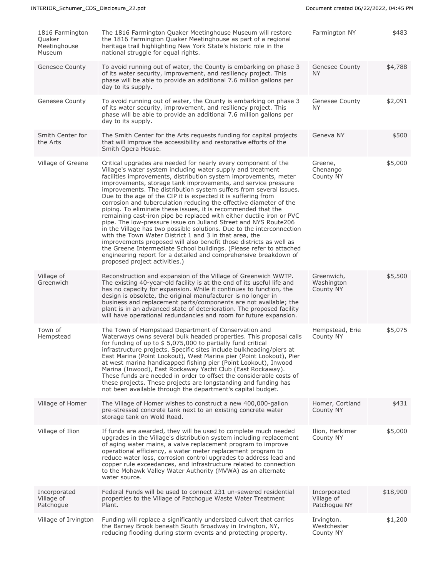| 1816 Farmington<br>Quaker<br>Meetinghouse<br>Museum | The 1816 Farmington Quaker Meetinghouse Museum will restore<br>the 1816 Farmington Quaker Meetinghouse as part of a regional<br>heritage trail highlighting New York State's historic role in the<br>national struggle for equal rights.                                                                                                                                                                                                                                                                                                                                                                                                                                                                                                                                                                                                                                                                                                                                                                                                                                         | Farmington NY                              | \$483    |
|-----------------------------------------------------|----------------------------------------------------------------------------------------------------------------------------------------------------------------------------------------------------------------------------------------------------------------------------------------------------------------------------------------------------------------------------------------------------------------------------------------------------------------------------------------------------------------------------------------------------------------------------------------------------------------------------------------------------------------------------------------------------------------------------------------------------------------------------------------------------------------------------------------------------------------------------------------------------------------------------------------------------------------------------------------------------------------------------------------------------------------------------------|--------------------------------------------|----------|
| Genesee County                                      | To avoid running out of water, the County is embarking on phase 3<br>of its water security, improvement, and resiliency project. This<br>phase will be able to provide an additional 7.6 million gallons per<br>day to its supply.                                                                                                                                                                                                                                                                                                                                                                                                                                                                                                                                                                                                                                                                                                                                                                                                                                               | Genesee County<br>NY.                      | \$4,788  |
| Genesee County                                      | To avoid running out of water, the County is embarking on phase 3<br>of its water security, improvement, and resiliency project. This<br>phase will be able to provide an additional 7.6 million gallons per<br>day to its supply.                                                                                                                                                                                                                                                                                                                                                                                                                                                                                                                                                                                                                                                                                                                                                                                                                                               | Genesee County<br>NY.                      | \$2,091  |
| Smith Center for<br>the Arts                        | The Smith Center for the Arts requests funding for capital projects<br>that will improve the accessibility and restorative efforts of the<br>Smith Opera House.                                                                                                                                                                                                                                                                                                                                                                                                                                                                                                                                                                                                                                                                                                                                                                                                                                                                                                                  | Geneva NY                                  | \$500    |
| Village of Greene                                   | Critical upgrades are needed for nearly every component of the<br>Village's water system including water supply and treatment<br>facilities improvements, distribution system improvements, meter<br>improvements, storage tank improvements, and service pressure<br>improvements. The distribution system suffers from several issues.<br>Due to the age of the CIP it is expected it is suffering from<br>corrosion and tuberculation reducing the effective diameter of the<br>piping. To eliminate these issues, it is recommended that the<br>remaining cast-iron pipe be replaced with either ductile iron or PVC<br>pipe. The low-pressure issue on Juliand Street and NYS Route206<br>in the Village has two possible solutions. Due to the interconnection<br>with the Town Water District 1 and 3 in that area, the<br>improvements proposed will also benefit those districts as well as<br>the Greene Intermediate School buildings. (Please refer to attached<br>engineering report for a detailed and comprehensive breakdown of<br>proposed project activities.) | Greene,<br>Chenango<br>County NY           | \$5,000  |
| Village of<br>Greenwich                             | Reconstruction and expansion of the Village of Greenwich WWTP.<br>The existing 40-year-old facility is at the end of its useful life and<br>has no capacity for expansion. While it continues to function, the<br>design is obsolete, the original manufacturer is no longer in<br>business and replacement parts/components are not available; the<br>plant is in an advanced state of deterioration. The proposed facility<br>will have operational redundancies and room for future expansion.                                                                                                                                                                                                                                                                                                                                                                                                                                                                                                                                                                                | Greenwich,<br>Washington<br>County NY      | \$5,500  |
| Town of<br>Hempstead                                | The Town of Hempstead Department of Conservation and<br>Waterways owns several bulk headed properties. This proposal calls<br>for funding of up to $$5,075,000$ to partially fund critical<br>infrastructure projects. Specific sites include bulkheading/piers at<br>East Marina (Point Lookout), West Marina pier (Point Lookout), Pier<br>at west marina handicapped fishing pier (Point Lookout), Inwood<br>Marina (Inwood), East Rockaway Yacht Club (East Rockaway).<br>These funds are needed in order to offset the considerable costs of<br>these projects. These projects are longstanding and funding has<br>not been available through the department's capital budget.                                                                                                                                                                                                                                                                                                                                                                                              | Hempstead, Erie<br>County NY               | \$5,075  |
| Village of Homer                                    | The Village of Homer wishes to construct a new 400,000-gallon<br>pre-stressed concrete tank next to an existing concrete water<br>storage tank on Wold Road.                                                                                                                                                                                                                                                                                                                                                                                                                                                                                                                                                                                                                                                                                                                                                                                                                                                                                                                     | Homer, Cortland<br>County NY               | \$431    |
| Village of Ilion                                    | If funds are awarded, they will be used to complete much needed<br>upgrades in the Village's distribution system including replacement<br>of aging water mains, a valve replacement program to improve<br>operational efficiency, a water meter replacement program to<br>reduce water loss, corrosion control upgrades to address lead and<br>copper rule exceedances, and infrastructure related to connection<br>to the Mohawk Valley Water Authority (MVWA) as an alternate<br>water source.                                                                                                                                                                                                                                                                                                                                                                                                                                                                                                                                                                                 | Ilion, Herkimer<br>County NY               | \$5,000  |
| Incorporated<br>Village of<br>Patchogue             | Federal Funds will be used to connect 231 un-sewered residential<br>properties to the Village of Patchogue Waste Water Treatment<br>Plant.                                                                                                                                                                                                                                                                                                                                                                                                                                                                                                                                                                                                                                                                                                                                                                                                                                                                                                                                       | Incorporated<br>Village of<br>Patchogue NY | \$18,900 |
| Village of Irvington                                | Funding will replace a significantly undersized culvert that carries<br>the Barney Brook beneath South Broadway in Irvington, NY,<br>reducing flooding during storm events and protecting property.                                                                                                                                                                                                                                                                                                                                                                                                                                                                                                                                                                                                                                                                                                                                                                                                                                                                              | Irvington.<br>Westchester<br>County NY     | \$1,200  |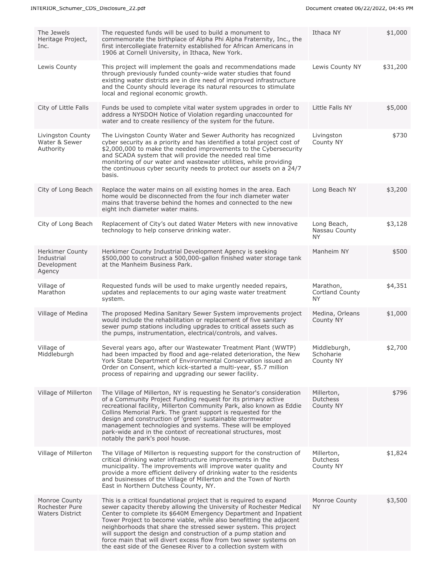| The Jewels<br>Heritage Project,<br>Inc.                       | The requested funds will be used to build a monument to<br>commemorate the birthplace of Alpha Phi Alpha Fraternity, Inc., the<br>first intercollegiate fraternity established for African Americans in<br>1906 at Cornell University, in Ithaca, New York.                                                                                                                                                                                                                                                                                                       | Ithaca NY                                        | \$1,000  |
|---------------------------------------------------------------|-------------------------------------------------------------------------------------------------------------------------------------------------------------------------------------------------------------------------------------------------------------------------------------------------------------------------------------------------------------------------------------------------------------------------------------------------------------------------------------------------------------------------------------------------------------------|--------------------------------------------------|----------|
| Lewis County                                                  | This project will implement the goals and recommendations made<br>through previously funded county-wide water studies that found<br>existing water districts are in dire need of improved infrastructure<br>and the County should leverage its natural resources to stimulate<br>local and regional economic growth.                                                                                                                                                                                                                                              | Lewis County NY                                  | \$31,200 |
| City of Little Falls                                          | Funds be used to complete vital water system upgrades in order to<br>address a NYSDOH Notice of Violation regarding unaccounted for<br>water and to create resiliency of the system for the future.                                                                                                                                                                                                                                                                                                                                                               | Little Falls NY                                  | \$5,000  |
| Livingston County<br>Water & Sewer<br>Authority               | The Livingston County Water and Sewer Authority has recognized<br>cyber security as a priority and has identified a total project cost of<br>\$2,000,000 to make the needed improvements to the Cybersecurity<br>and SCADA system that will provide the needed real time<br>monitoring of our water and wastewater utilities, while providing<br>the continuous cyber security needs to protect our assets on a 24/7<br>basis.                                                                                                                                    | Livingston<br>County NY                          | \$730    |
| City of Long Beach                                            | Replace the water mains on all existing homes in the area. Each<br>home would be disconnected from the four inch diameter water<br>mains that traverse behind the homes and connected to the new<br>eight inch diameter water mains.                                                                                                                                                                                                                                                                                                                              | Long Beach NY                                    | \$3,200  |
| City of Long Beach                                            | Replacement of City's out dated Water Meters with new innovative<br>technology to help conserve drinking water.                                                                                                                                                                                                                                                                                                                                                                                                                                                   | Long Beach,<br>Nassau County<br><b>NY</b>        | \$3,128  |
| <b>Herkimer County</b><br>Industrial<br>Development<br>Agency | Herkimer County Industrial Development Agency is seeking<br>\$500,000 to construct a 500,000-gallon finished water storage tank<br>at the Manheim Business Park.                                                                                                                                                                                                                                                                                                                                                                                                  | Manheim NY                                       | \$500    |
| Village of<br>Marathon                                        | Requested funds will be used to make urgently needed repairs,<br>updates and replacements to our aging waste water treatment<br>system.                                                                                                                                                                                                                                                                                                                                                                                                                           | Marathon,<br><b>Cortland County</b><br><b>NY</b> | \$4,351  |
| Village of Medina                                             | The proposed Medina Sanitary Sewer System improvements project<br>would include the rehabilitation or replacement of five sanitary<br>sewer pump stations including upgrades to critical assets such as<br>the pumps, instrumentation, electrical/controls, and valves.                                                                                                                                                                                                                                                                                           | Medina, Orleans<br>County NY                     | \$1,000  |
| Village of<br>Middleburgh                                     | Several years ago, after our Wastewater Treatment Plant (WWTP)<br>had been impacted by flood and age-related deterioration, the New<br>York State Department of Environmental Conservation issued an<br>Order on Consent, which kick-started a multi-year, \$5.7 million<br>process of repairing and upgrading our sewer facility.                                                                                                                                                                                                                                | Middleburgh,<br>Schoharie<br>County NY           | \$2,700  |
| Village of Millerton                                          | The Village of Millerton, NY is requesting he Senator's consideration<br>of a Community Project Funding request for its primary active<br>recreational facility, Millerton Community Park, also known as Eddie<br>Collins Memorial Park. The grant support is requested for the<br>design and construction of 'green' sustainable stormwater<br>management technologies and systems. These will be employed<br>park-wide and in the context of recreational structures, most<br>notably the park's pool house.                                                    | Millerton,<br>Dutchess<br>County NY              | \$796    |
| Village of Millerton                                          | The Village of Millerton is requesting support for the construction of<br>critical drinking water infrastructure improvements in the<br>municipality. The improvements will improve water quality and<br>provide a more efficient delivery of drinking water to the residents<br>and businesses of the Village of Millerton and the Town of North<br>East in Northern Dutchess County, NY.                                                                                                                                                                        | Millerton,<br>Dutchess<br>County NY              | \$1,824  |
| Monroe County<br>Rochester Pure<br><b>Waters District</b>     | This is a critical foundational project that is required to expand<br>sewer capacity thereby allowing the University of Rochester Medical<br>Center to complete its \$640M Emergency Department and Inpatient<br>Tower Project to become viable, while also benefitting the adjacent<br>neighborhoods that share the stressed sewer system. This project<br>will support the design and construction of a pump station and<br>force main that will divert excess flow from two sewer systems on<br>the east side of the Genesee River to a collection system with | Monroe County<br>NY.                             | \$3,500  |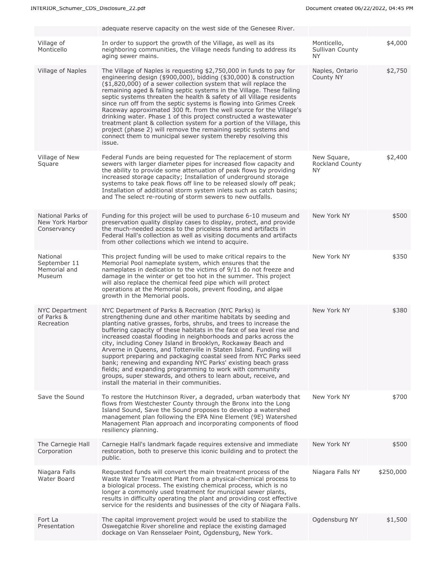|                                                     | adequate reserve capacity on the west side of the Genesee River.                                                                                                                                                                                                                                                                                                                                                                                                                                                                                                                                                                                                                                                                                                                                      |                                              |           |
|-----------------------------------------------------|-------------------------------------------------------------------------------------------------------------------------------------------------------------------------------------------------------------------------------------------------------------------------------------------------------------------------------------------------------------------------------------------------------------------------------------------------------------------------------------------------------------------------------------------------------------------------------------------------------------------------------------------------------------------------------------------------------------------------------------------------------------------------------------------------------|----------------------------------------------|-----------|
| Village of<br>Monticello                            | In order to support the growth of the Village, as well as its<br>neighboring communities, the Village needs funding to address its<br>aging sewer mains.                                                                                                                                                                                                                                                                                                                                                                                                                                                                                                                                                                                                                                              | Monticello,<br>Sullivan County<br>NY.        | \$4,000   |
| Village of Naples                                   | The Village of Naples is requesting \$2,750,000 in funds to pay for<br>engineering design (\$900,000), bidding (\$30,000) & construction<br>(\$1,820,000) of a sewer collection system that will replace the<br>remaining aged & failing septic systems in the Village. These failing<br>septic systems threaten the health & safety of all Village residents<br>since run off from the septic systems is flowing into Grimes Creek<br>Raceway approximated 300 ft. from the well source for the Village's<br>drinking water. Phase 1 of this project constructed a wastewater<br>treatment plant & collection system for a portion of the Village, this<br>project (phase 2) will remove the remaining septic systems and<br>connect them to municipal sewer system thereby resolving this<br>issue. | Naples, Ontario<br>County NY                 | \$2,750   |
| Village of New<br>Square                            | Federal Funds are being requested for The replacement of storm<br>sewers with larger diameter pipes for increased flow capacity and<br>the ability to provide some attenuation of peak flows by providing<br>increased storage capacity; Installation of underground storage<br>systems to take peak flows off line to be released slowly off peak;<br>Installation of additional storm system inlets such as catch basins;<br>and The select re-routing of storm sewers to new outfalls.                                                                                                                                                                                                                                                                                                             | New Square,<br><b>Rockland County</b><br>NY. | \$2,400   |
| National Parks of<br>New York Harbor<br>Conservancy | Funding for this project will be used to purchase 6-10 museum and<br>preservation quality display cases to display, protect, and provide<br>the much-needed access to the priceless items and artifacts in<br>Federal Hall's collection as well as visiting documents and artifacts<br>from other collections which we intend to acquire.                                                                                                                                                                                                                                                                                                                                                                                                                                                             | New York NY                                  | \$500     |
| National<br>September 11<br>Memorial and<br>Museum  | This project funding will be used to make critical repairs to the<br>Memorial Pool nameplate system, which ensures that the<br>nameplates in dedication to the victims of 9/11 do not freeze and<br>damage in the winter or get too hot in the summer. This project<br>will also replace the chemical feed pipe which will protect<br>operations at the Memorial pools, prevent flooding, and algae<br>growth in the Memorial pools.                                                                                                                                                                                                                                                                                                                                                                  | New York NY                                  | \$350     |
| <b>NYC Department</b><br>of Parks &<br>Recreation   | NYC Department of Parks & Recreation (NYC Parks) is<br>strengthening dune and other maritime habitats by seeding and<br>planting native grasses, forbs, shrubs, and trees to increase the<br>buffering capacity of these habitats in the face of sea level rise and<br>increased coastal flooding in neighborhoods and parks across the<br>city, including Coney Island in Brooklyn, Rockaway Beach and<br>Arverne in Queens, and Tottenville in Staten Island. Funding will<br>support preparing and packaging coastal seed from NYC Parks seed<br>bank; renewing and expanding NYC Parks' existing beach grass<br>fields; and expanding programming to work with community<br>groups, super stewards, and others to learn about, receive, and<br>install the material in their communities.         | New York NY                                  | \$380     |
| Save the Sound                                      | To restore the Hutchinson River, a degraded, urban waterbody that<br>flows from Westchester County through the Bronx into the Long<br>Island Sound, Save the Sound proposes to develop a watershed<br>management plan following the EPA Nine Element (9E) Watershed<br>Management Plan approach and incorporating components of flood<br>resiliency planning.                                                                                                                                                                                                                                                                                                                                                                                                                                         | New York NY                                  | \$700     |
| The Carnegie Hall<br>Corporation                    | Carnegie Hall's landmark façade requires extensive and immediate<br>restoration, both to preserve this iconic building and to protect the<br>public.                                                                                                                                                                                                                                                                                                                                                                                                                                                                                                                                                                                                                                                  | New York NY                                  | \$500     |
| Niagara Falls<br>Water Board                        | Requested funds will convert the main treatment process of the<br>Waste Water Treatment Plant from a physical-chemical process to<br>a biological process. The existing chemical process, which is no<br>longer a commonly used treatment for municipal sewer plants,<br>results in difficulty operating the plant and providing cost effective<br>service for the residents and businesses of the city of Niagara Falls.                                                                                                                                                                                                                                                                                                                                                                             | Niagara Falls NY                             | \$250,000 |
| Fort La<br>Presentation                             | The capital improvement project would be used to stabilize the<br>Oswegatchie River shoreline and replace the existing damaged<br>dockage on Van Rensselaer Point, Ogdensburg, New York.                                                                                                                                                                                                                                                                                                                                                                                                                                                                                                                                                                                                              | Ogdensburg NY                                | \$1,500   |
|                                                     |                                                                                                                                                                                                                                                                                                                                                                                                                                                                                                                                                                                                                                                                                                                                                                                                       |                                              |           |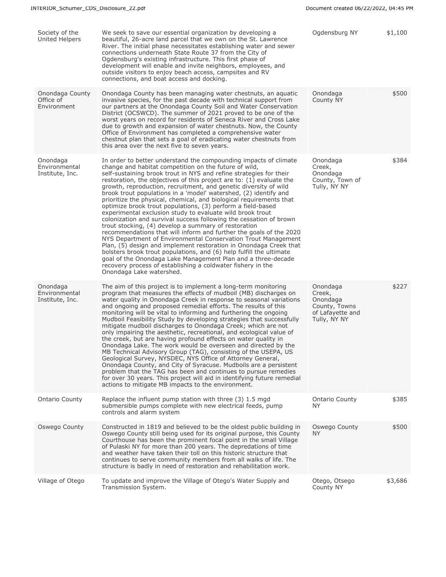| Society of the<br><b>United Helpers</b>      | We seek to save our essential organization by developing a<br>beautiful, 26-acre land parcel that we own on the St. Lawrence<br>River. The initial phase necessitates establishing water and sewer<br>connections underneath State Route 37 from the City of<br>Ogdensburg's existing infrastructure. This first phase of<br>development will enable and invite neighbors, employees, and<br>outside visitors to enjoy beach access, campsites and RV<br>connections, and boat access and docking.                                                                                                                                                                                                                                                                                                                                                                                                                                                                                                                                                                                                                                                                                             | Ogdensburg NY                                                                       | \$1,100 |
|----------------------------------------------|------------------------------------------------------------------------------------------------------------------------------------------------------------------------------------------------------------------------------------------------------------------------------------------------------------------------------------------------------------------------------------------------------------------------------------------------------------------------------------------------------------------------------------------------------------------------------------------------------------------------------------------------------------------------------------------------------------------------------------------------------------------------------------------------------------------------------------------------------------------------------------------------------------------------------------------------------------------------------------------------------------------------------------------------------------------------------------------------------------------------------------------------------------------------------------------------|-------------------------------------------------------------------------------------|---------|
| Onondaga County<br>Office of<br>Environment  | Onondaga County has been managing water chestnuts, an aquatic<br>invasive species, for the past decade with technical support from<br>our partners at the Onondaga County Soil and Water Conservation<br>District (OCSWCD). The summer of 2021 proved to be one of the<br>worst years on record for residents of Seneca River and Cross Lake<br>due to growth and expansion of water chestnuts. Now, the County<br>Office of Environment has completed a comprehensive water<br>chestnut plan that sets a goal of eradicating water chestnuts from<br>this area over the next five to seven years.                                                                                                                                                                                                                                                                                                                                                                                                                                                                                                                                                                                             | Onondaga<br>County NY                                                               | \$500   |
| Onondaga<br>Environmental<br>Institute, Inc. | In order to better understand the compounding impacts of climate<br>change and habitat competition on the future of wild,<br>self-sustaining brook trout in NYS and refine strategies for their<br>restoration, the objectives of this project are to: (1) evaluate the<br>growth, reproduction, recruitment, and genetic diversity of wild<br>brook trout populations in a 'model' watershed, (2) identify and<br>prioritize the physical, chemical, and biological requirements that<br>optimize brook trout populations, (3) perform a field-based<br>experimental exclusion study to evaluate wild brook trout<br>colonization and survival success following the cessation of brown<br>trout stocking, (4) develop a summary of restoration<br>recommendations that will inform and further the goals of the 2020<br>NYS Department of Environmental Conservation Trout Management<br>Plan, (5) design and implement restoration in Onondaga Creek that<br>bolsters brook trout populations, and (6) help fulfill the ultimate<br>goal of the Onondaga Lake Management Plan and a three-decade<br>recovery process of establishing a coldwater fishery in the<br>Onondaga Lake watershed. | Onondaga<br>Creek,<br>Onondaga<br>County, Town of<br>Tully, NY NY                   | \$384   |
| Onondaga<br>Environmental<br>Institute, Inc. | The aim of this project is to implement a long-term monitoring<br>program that measures the effects of mudboil (MB) discharges on<br>water quality in Onondaga Creek in response to seasonal variations<br>and ongoing and proposed remedial efforts. The results of this<br>monitoring will be vital to informing and furthering the ongoing<br>Mudboil Feasibility Study by developing strategies that successfully<br>mitigate mudboil discharges to Onondaga Creek; which are not<br>only impairing the aesthetic, recreational, and ecological value of<br>the creek, but are having profound effects on water quality in<br>Onondaga Lake. The work would be overseen and directed by the<br>MB Technical Advisory Group (TAG), consisting of the USEPA, US<br>Geological Survey, NYSDEC, NYS Office of Attorney General,<br>Onondaga County, and City of Syracuse. Mudboils are a persistent<br>problem that the TAG has been and continues to pursue remedies<br>for over 30 years. This project will aid in identifying future remedial<br>actions to mitigate MB impacts to the environment.                                                                                         | Onondaga<br>Creek,<br>Onondaga<br>County, Towns<br>of Lafayette and<br>Tully, NY NY | \$227   |
| <b>Ontario County</b>                        | Replace the influent pump station with three (3) 1.5 mgd<br>submersible pumps complete with new electrical feeds, pump<br>controls and alarm system                                                                                                                                                                                                                                                                                                                                                                                                                                                                                                                                                                                                                                                                                                                                                                                                                                                                                                                                                                                                                                            | <b>Ontario County</b><br>NY.                                                        | \$385   |
| Oswego County                                | Constructed in 1819 and believed to be the oldest public building in<br>Oswego County still being used for its original purpose, this County<br>Courthouse has been the prominent focal point in the small Village<br>of Pulaski NY for more than 200 years. The depredations of time<br>and weather have taken their toll on this historic structure that<br>continues to serve community members from all walks of life. The<br>structure is badly in need of restoration and rehabilitation work.                                                                                                                                                                                                                                                                                                                                                                                                                                                                                                                                                                                                                                                                                           | Oswego County<br><b>NY</b>                                                          | \$500   |
| Village of Otego                             | To update and improve the Village of Otego's Water Supply and<br>Transmission System.                                                                                                                                                                                                                                                                                                                                                                                                                                                                                                                                                                                                                                                                                                                                                                                                                                                                                                                                                                                                                                                                                                          | Otego, Otsego<br>County NY                                                          | \$3,686 |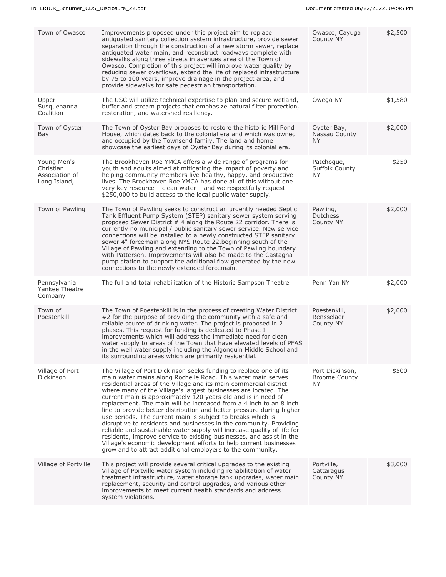| Town of Owasco                                             | Improvements proposed under this project aim to replace<br>antiquated sanitary collection system infrastructure, provide sewer<br>separation through the construction of a new storm sewer, replace<br>antiquated water main, and reconstruct roadways complete with<br>sidewalks along three streets in avenues area of the Town of<br>Owasco. Completion of this project will improve water quality by<br>reducing sewer overflows, extend the life of replaced infrastructure<br>by 75 to 100 years, improve drainage in the project area, and<br>provide sidewalks for safe pedestrian transportation.                                                                                                                                                                                                                                                                                                           | Owasco, Cayuga<br>County NY                    | \$2,500 |
|------------------------------------------------------------|----------------------------------------------------------------------------------------------------------------------------------------------------------------------------------------------------------------------------------------------------------------------------------------------------------------------------------------------------------------------------------------------------------------------------------------------------------------------------------------------------------------------------------------------------------------------------------------------------------------------------------------------------------------------------------------------------------------------------------------------------------------------------------------------------------------------------------------------------------------------------------------------------------------------|------------------------------------------------|---------|
| Upper<br>Susquehanna<br>Coalition                          | The USC will utilize technical expertise to plan and secure wetland,<br>buffer and stream projects that emphasize natural filter protection,<br>restoration, and watershed resiliency.                                                                                                                                                                                                                                                                                                                                                                                                                                                                                                                                                                                                                                                                                                                               | Owego NY                                       | \$1,580 |
| Town of Oyster<br>Bay                                      | The Town of Oyster Bay proposes to restore the historic Mill Pond<br>House, which dates back to the colonial era and which was owned<br>and occupied by the Townsend family. The land and home<br>showcase the earliest days of Oyster Bay during its colonial era.                                                                                                                                                                                                                                                                                                                                                                                                                                                                                                                                                                                                                                                  | Oyster Bay,<br>Nassau County<br>NY.            | \$2,000 |
| Young Men's<br>Christian<br>Association of<br>Long Island, | The Brookhaven Roe YMCA offers a wide range of programs for<br>youth and adults aimed at mitigating the impact of poverty and<br>helping community members live healthy, happy, and productive<br>lives. The Brookhaven Roe YMCA has done all of this without one<br>very key resource - clean water - and we respectfully request<br>\$250,000 to build access to the local public water supply.                                                                                                                                                                                                                                                                                                                                                                                                                                                                                                                    | Patchogue,<br>Suffolk County<br><b>NY</b>      | \$250   |
| Town of Pawling                                            | The Town of Pawling seeks to construct an urgently needed Septic<br>Tank Effluent Pump System (STEP) sanitary sewer system serving<br>proposed Sewer District # 4 along the Route 22 corridor. There is<br>currently no municipal / public sanitary sewer service. New service<br>connections will be installed to a newly constructed STEP sanitary<br>sewer 4" forcemain along NYS Route 22, beginning south of the<br>Village of Pawling and extending to the Town of Pawling boundary<br>with Patterson. Improvements will also be made to the Castagna<br>pump station to support the additional flow generated by the new<br>connections to the newly extended forcemain.                                                                                                                                                                                                                                      | Pawling,<br>Dutchess<br>County NY              | \$2,000 |
| Pennsylvania<br>Yankee Theatre<br>Company                  | The full and total rehabilitation of the Historic Sampson Theatre                                                                                                                                                                                                                                                                                                                                                                                                                                                                                                                                                                                                                                                                                                                                                                                                                                                    | Penn Yan NY                                    | \$2,000 |
| Town of<br>Poestenkill                                     | The Town of Poestenkill is in the process of creating Water District<br>#2 for the purpose of providing the community with a safe and<br>reliable source of drinking water. The project is proposed in 2<br>phases. This request for funding is dedicated to Phase I<br>improvements which will address the immediate need for clean<br>water supply to areas of the Town that have elevated levels of PFAS<br>in the well water supply including the Algonquin Middle School and<br>its surrounding areas which are primarily residential.                                                                                                                                                                                                                                                                                                                                                                          | Poestenkill,<br>Rensselaer<br>County NY        | \$2,000 |
| Village of Port<br>Dickinson                               | The Village of Port Dickinson seeks funding to replace one of its<br>main water mains along Rochelle Road. This water main serves<br>residential areas of the Village and its main commercial district<br>where many of the Village's largest businesses are located. The<br>current main is approximately 120 years old and is in need of<br>replacement. The main will be increased from a 4 inch to an 8 inch<br>line to provide better distribution and better pressure during higher<br>use periods. The current main is subject to breaks which is<br>disruptive to residents and businesses in the community. Providing<br>reliable and sustainable water supply will increase quality of life for<br>residents, improve service to existing businesses, and assist in the<br>Village's economic development efforts to help current businesses<br>grow and to attract additional employers to the community. | Port Dickinson,<br><b>Broome County</b><br>NY. | \$500   |
| Village of Portville                                       | This project will provide several critical upgrades to the existing<br>Village of Portville water system including rehabilitation of water<br>treatment infrastructure, water storage tank upgrades, water main<br>replacement, security and control upgrades, and various other<br>improvements to meet current health standards and address<br>system violations.                                                                                                                                                                                                                                                                                                                                                                                                                                                                                                                                                  | Portville,<br>Cattaragus<br>County NY          | \$3,000 |
|                                                            |                                                                                                                                                                                                                                                                                                                                                                                                                                                                                                                                                                                                                                                                                                                                                                                                                                                                                                                      |                                                |         |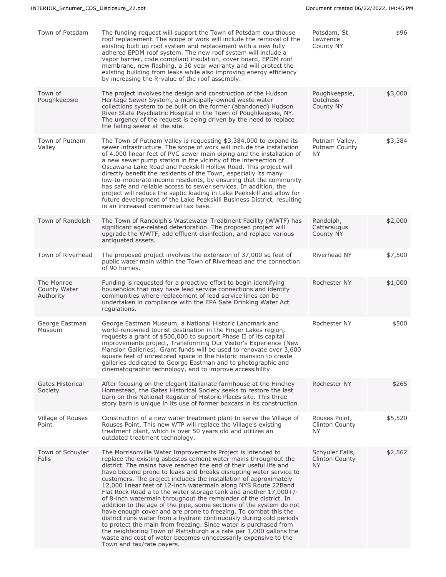| Town of Potsdam                         | The funding request will support the Town of Potsdam courthouse<br>roof replacement. The scope of work will include the removal of the<br>existing built up roof system and replacement with a new fully<br>adhered EPDM roof system. The new roof system will include a<br>vapor barrier, code compliant insulation, cover board, EPDM roof<br>membrane, new flashing, a 30 year warranty and will protect the<br>existing building from leaks while also improving energy efficiency<br>by increasing the R-value of the roof assembly.                                                                                                                                                                                                                                                                                                                                                                                                                                                                           | Potsdam, St.<br>Lawrence<br>County NY           | \$96    |
|-----------------------------------------|---------------------------------------------------------------------------------------------------------------------------------------------------------------------------------------------------------------------------------------------------------------------------------------------------------------------------------------------------------------------------------------------------------------------------------------------------------------------------------------------------------------------------------------------------------------------------------------------------------------------------------------------------------------------------------------------------------------------------------------------------------------------------------------------------------------------------------------------------------------------------------------------------------------------------------------------------------------------------------------------------------------------|-------------------------------------------------|---------|
| Town of<br>Poughkeepsie                 | The project involves the design and construction of the Hudson<br>Heritage Sewer System, a municipally-owned waste water<br>collections system to be built on the former (abandoned) Hudson<br>River State Psychiatric Hospital in the Town of Poughkeepsie, NY.<br>The urgency of the request is being driven by the need to replace<br>the failing sewer at the site.                                                                                                                                                                                                                                                                                                                                                                                                                                                                                                                                                                                                                                             | Poughkeepsie,<br><b>Dutchess</b><br>County NY   | \$3,000 |
| Town of Putnam<br>Valley                | The Town of Putnam Valley is requesting \$3,384,000 to expand its<br>sewer infrastructure. The scope of work will include the installation<br>of 4,000 linear feet of PVC sewer main piping and the installation of<br>a new sewer pump station in the vicinity of the intersection of<br>Oscawana Lake Road and Peekskill Hollow Road. This project will<br>directly benefit the residents of the Town, especially its many<br>low-to-moderate income residents, by ensuring that the community<br>has safe and reliable access to sewer services. In addition, the<br>project will reduce the septic loading in Lake Peekskill and allow for<br>future development of the Lake Peekskill Business District, resulting<br>in an increased commercial tax base.                                                                                                                                                                                                                                                     | Putnam Valley,<br>Putnam County<br>NY.          | \$3,384 |
| Town of Randolph                        | The Town of Randolph's Wastewater Treatment Facility (WWTF) has<br>significant age-related deterioration. The proposed project will<br>upgrade the WWTF, add effluent disinfection, and replace various<br>antiquated assets.                                                                                                                                                                                                                                                                                                                                                                                                                                                                                                                                                                                                                                                                                                                                                                                       | Randolph,<br>Cattaraugus<br>County NY           | \$2,000 |
| Town of Riverhead                       | The proposed project involves the extension of 37,000 sq feet of<br>public water main within the Town of Riverhead and the connection<br>of 90 homes.                                                                                                                                                                                                                                                                                                                                                                                                                                                                                                                                                                                                                                                                                                                                                                                                                                                               | Riverhead NY                                    | \$7,500 |
| The Monroe<br>County Water<br>Authority | Funding is requested for a proactive effort to begin identifying<br>households that may have lead service connections and identify<br>communities where replacement of lead service lines can be<br>undertaken in compliance with the EPA Safe Drinking Water Act<br>regulations.                                                                                                                                                                                                                                                                                                                                                                                                                                                                                                                                                                                                                                                                                                                                   | Rochester NY                                    | \$1,000 |
| George Eastman<br>Museum                | George Eastman Museum, a National Historic Landmark and<br>world-renowned tourist destination in the Finger Lakes region,<br>requests a grant of \$500,000 to support Phase II of its capital<br>improvements project, Transforming Our Visitor's Experience (New<br>Mansion Galleries). Grant funds will be used to renovate over 3,600<br>square feet of unrestored space in the historic mansion to create<br>galleries dedicated to George Eastman and to photographic and<br>cinematographic technology, and to improve accessibility.                                                                                                                                                                                                                                                                                                                                                                                                                                                                         | Rochester NY                                    | \$500   |
| Gates Historical<br>Society             | After focusing on the elegant Italianate farmhouse at the Hinchey<br>Homestead, the Gates Historical Society seeks to restore the last<br>barn on this National Register of Historic Places site. This three<br>story barn is unique in its use of former boxcars in its construction                                                                                                                                                                                                                                                                                                                                                                                                                                                                                                                                                                                                                                                                                                                               | Rochester NY                                    | \$265   |
| Village of Rouses<br>Point              | Construction of a new water treatment plant to serve the Village of<br>Rouses Point. This new WTP will replace the Village's existing<br>treatment plant, which is over 50 years old and utilizes an<br>outdated treatment technology.                                                                                                                                                                                                                                                                                                                                                                                                                                                                                                                                                                                                                                                                                                                                                                              | Rouses Point,<br>Clinton County<br><b>NY</b>    | \$5,520 |
| Town of Schuyler<br>Falls               | The Morrisonville Water Improvements Project is intended to<br>replace the existing asbestos cement water mains throughout the<br>district. The mains have reached the end of their useful life and<br>have become prone to leaks and breaks disrupting water service to<br>customers. The project includes the installation of approximately<br>12,000 linear feet of 12-inch watermain along NYS Route 22Band<br>Flat Rock Road a to the water storage tank and another $17,000+/-$<br>of 8-inch watermain throughout the remainder of the district. In<br>addition to the age of the pipe, some sections of the system do not<br>have enough cover and are prone to freezing. To combat this the<br>district runs water from a hydrant continuously during cold periods<br>to protect the main from freezing. Since water is purchased from<br>the neighboring Town of Plattsburgh a a rate per 1,000 gallons the<br>waste and cost of water becomes unnecessarily expensive to the<br>Town and tax/rate payers. | Schyuler Falls,<br><b>Clinton County</b><br>NY. | \$2,562 |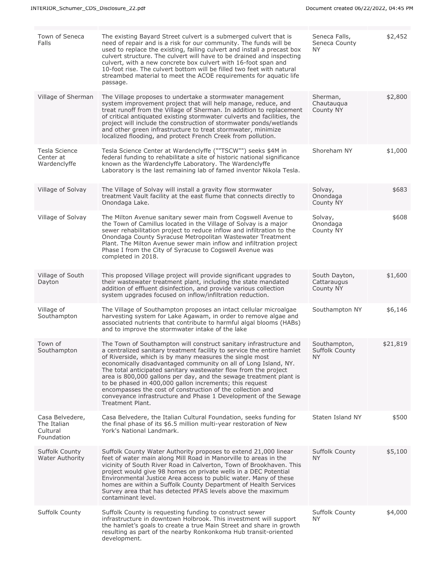| Town of Seneca<br>Falls                                  | The existing Bayard Street culvert is a submerged culvert that is<br>need of repair and is a risk for our community. The funds will be<br>used to replace the existing, failing culvert and install a precast box<br>culvert structure. The culvert will have to be drained and inspecting<br>culvert, with a new concrete box culvert with 16-foot span and<br>10-foot rise. The culvert bottom will be filled two feet with natural<br>streambed material to meet the ACOE requirements for aquatic life<br>passage.                                                                                                              | Seneca Falls,<br>Seneca County<br>NY.       | \$2,452  |
|----------------------------------------------------------|-------------------------------------------------------------------------------------------------------------------------------------------------------------------------------------------------------------------------------------------------------------------------------------------------------------------------------------------------------------------------------------------------------------------------------------------------------------------------------------------------------------------------------------------------------------------------------------------------------------------------------------|---------------------------------------------|----------|
| Village of Sherman                                       | The Village proposes to undertake a stormwater management<br>system improvement project that will help manage, reduce, and<br>treat runoff from the Village of Sherman. In addition to replacement<br>of critical antiquated existing stormwater culverts and facilities, the<br>project will include the construction of stormwater ponds/wetlands<br>and other green infrastructure to treat stormwater, minimize<br>localized flooding, and protect French Creek from pollution.                                                                                                                                                 | Sherman,<br>Chautauqua<br>County NY         | \$2,800  |
| Tesla Science<br>Center at<br>Wardenclyffe               | Tesla Science Center at Wardenclyffe (""TSCW"") seeks \$4M in<br>federal funding to rehabilitate a site of historic national significance<br>known as the Wardenclyffe Laboratory. The Wardenclyffe<br>Laboratory is the last remaining lab of famed inventor Nikola Tesla.                                                                                                                                                                                                                                                                                                                                                         | Shoreham NY                                 | \$1,000  |
| Village of Solvay                                        | The Village of Solvay will install a gravity flow stormwater<br>treatment Vault facility at the east flume that connects directly to<br>Onondaga Lake.                                                                                                                                                                                                                                                                                                                                                                                                                                                                              | Solvay,<br>Onondaga<br>County NY            | \$683    |
| Village of Solvay                                        | The Milton Avenue sanitary sewer main from Cogswell Avenue to<br>the Town of Camillus located in the Village of Solvay is a major<br>sewer rehabilitation project to reduce inflow and infiltration to the<br>Onondaga County Syracuse Metropolitan Wastewater Treatment<br>Plant. The Milton Avenue sewer main inflow and infiltration project<br>Phase I from the City of Syracuse to Cogswell Avenue was<br>completed in 2018.                                                                                                                                                                                                   | Solvay,<br>Onondaga<br>County NY            | \$608    |
| Village of South<br>Dayton                               | This proposed Village project will provide significant upgrades to<br>their wastewater treatment plant, including the state mandated<br>addition of effluent disinfection, and provide various collection<br>system upgrades focused on inflow/infiltration reduction.                                                                                                                                                                                                                                                                                                                                                              | South Dayton,<br>Cattaraugus<br>County NY   | \$1,600  |
| Village of<br>Southampton                                | The Village of Southampton proposes an intact cellular microalgae<br>harvesting system for Lake Agawam, in order to remove algae and<br>associated nutrients that contribute to harmful algal blooms (HABs)<br>and to improve the stormwater intake of the lake                                                                                                                                                                                                                                                                                                                                                                     | Southampton NY                              | \$6,146  |
| Town of<br>Southampton                                   | The Town of Southampton will construct sanitary infrastructure and<br>a centralized sanitary treatment facility to service the entire hamlet<br>of Riverside, which is by many measures the single most<br>economically disadvantaged community on all of Long Island, NY.<br>The total anticipated sanitary wastewater flow from the project<br>area is 800,000 gallons per day, and the sewage treatment plant is<br>to be phased in 400,000 gallon increments; this request<br>encompasses the cost of construction of the collection and<br>conveyance infrastructure and Phase 1 Development of the Sewage<br>Treatment Plant. | Southampton,<br>Suffolk County<br><b>NY</b> | \$21,819 |
| Casa Belvedere,<br>The Italian<br>Cultural<br>Foundation | Casa Belvedere, the Italian Cultural Foundation, seeks funding for<br>the final phase of its \$6.5 million multi-year restoration of New<br>York's National Landmark.                                                                                                                                                                                                                                                                                                                                                                                                                                                               | Staten Island NY                            | \$500    |
| <b>Suffolk County</b><br><b>Water Authority</b>          | Suffolk County Water Authority proposes to extend 21,000 linear<br>feet of water main along Mill Road in Manorville to areas in the<br>vicinity of South River Road in Calverton, Town of Brookhaven. This<br>project would give 98 homes on private wells in a DEC Potential<br>Environmental Justice Area access to public water. Many of these<br>homes are within a Suffolk County Department of Health Services<br>Survey area that has detected PFAS levels above the maximum<br>contaminant level.                                                                                                                           | Suffolk County<br>NY.                       | \$5,100  |
| Suffolk County                                           | Suffolk County is requesting funding to construct sewer<br>infrastructure in downtown Holbrook. This investment will support<br>the hamlet's goals to create a true Main Street and share in growth<br>resulting as part of the nearby Ronkonkoma Hub transit-oriented<br>development.                                                                                                                                                                                                                                                                                                                                              | <b>Suffolk County</b><br>NY.                | \$4,000  |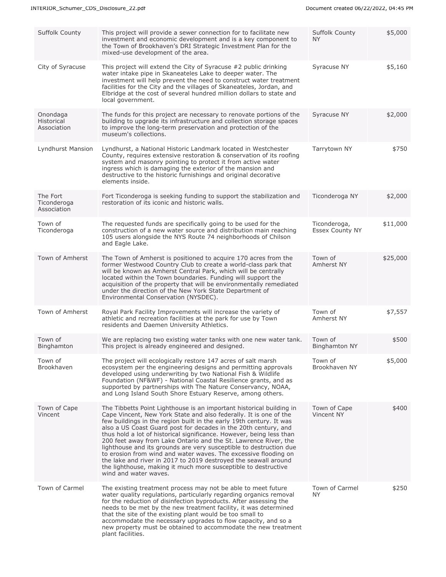| <b>Suffolk County</b>                        | This project will provide a sewer connection for to facilitate new<br>investment and economic development and is a key component to<br>the Town of Brookhaven's DRI Strategic Investment Plan for the<br>mixed-use development of the area.                                                                                                                                                                                                                                                                                                                                                                                                                                                                                           | <b>Suffolk County</b><br>NY.           | \$5,000  |
|----------------------------------------------|---------------------------------------------------------------------------------------------------------------------------------------------------------------------------------------------------------------------------------------------------------------------------------------------------------------------------------------------------------------------------------------------------------------------------------------------------------------------------------------------------------------------------------------------------------------------------------------------------------------------------------------------------------------------------------------------------------------------------------------|----------------------------------------|----------|
| City of Syracuse                             | This project will extend the City of Syracuse #2 public drinking<br>water intake pipe in Skaneateles Lake to deeper water. The<br>investment will help prevent the need to construct water treatment<br>facilities for the City and the villages of Skaneateles, Jordan, and<br>Elbridge at the cost of several hundred million dollars to state and<br>local government.                                                                                                                                                                                                                                                                                                                                                             | Syracuse NY                            | \$5,160  |
| Onondaga<br><b>Historical</b><br>Association | The funds for this project are necessary to renovate portions of the<br>building to upgrade its infrastructure and collection storage spaces<br>to improve the long-term preservation and protection of the<br>museum's collections.                                                                                                                                                                                                                                                                                                                                                                                                                                                                                                  | Syracuse NY                            | \$2,000  |
| Lyndhurst Mansion                            | Lyndhurst, a National Historic Landmark located in Westchester<br>County, requires extensive restoration & conservation of its roofing<br>system and masonry pointing to protect it from active water<br>ingress which is damaging the exterior of the mansion and<br>destructive to the historic furnishings and original decorative<br>elements inside.                                                                                                                                                                                                                                                                                                                                                                             | Tarrytown NY                           | \$750    |
| The Fort<br>Ticonderoga<br>Association       | Fort Ticonderoga is seeking funding to support the stabilization and<br>restoration of its iconic and historic walls.                                                                                                                                                                                                                                                                                                                                                                                                                                                                                                                                                                                                                 | Ticonderoga NY                         | \$2,000  |
| Town of<br>Ticonderoga                       | The requested funds are specifically going to be used for the<br>construction of a new water source and distribution main reaching<br>105 users alongside the NYS Route 74 neighborhoods of Chilson<br>and Eagle Lake.                                                                                                                                                                                                                                                                                                                                                                                                                                                                                                                | Ticonderoga,<br><b>Essex County NY</b> | \$11,000 |
| Town of Amherst                              | The Town of Amherst is positioned to acquire 170 acres from the<br>former Westwood Country Club to create a world-class park that<br>will be known as Amherst Central Park, which will be centrally<br>located within the Town boundaries. Funding will support the<br>acquisition of the property that will be environmentally remediated<br>under the direction of the New York State Department of<br>Environmental Conservation (NYSDEC).                                                                                                                                                                                                                                                                                         | Town of<br>Amherst NY                  | \$25,000 |
| Town of Amherst                              | Royal Park Facility Improvements will increase the variety of<br>athletic and recreation facilities at the park for use by Town<br>residents and Daemen University Athletics.                                                                                                                                                                                                                                                                                                                                                                                                                                                                                                                                                         | Town of<br>Amherst NY                  | \$7,557  |
| Town of<br>Binghamton                        | We are replacing two existing water tanks with one new water tank.<br>This project is already engineered and designed.                                                                                                                                                                                                                                                                                                                                                                                                                                                                                                                                                                                                                | Town of<br><b>Binghamton NY</b>        | \$500    |
| Town of<br>Brookhaven                        | The project will ecologically restore 147 acres of salt marsh<br>ecosystem per the engineering designs and permitting approvals<br>developed using underwriting by two National Fish & Wildlife<br>Foundation (NF&WF) - National Coastal Resilience grants, and as<br>supported by partnerships with The Nature Conservancy, NOAA,<br>and Long Island South Shore Estuary Reserve, among others.                                                                                                                                                                                                                                                                                                                                      | Town of<br>Brookhaven NY               | \$5,000  |
| Town of Cape<br>Vincent                      | The Tibbetts Point Lighthouse is an important historical building in<br>Cape Vincent, New York State and also federally. It is one of the<br>few buildings in the region built in the early 19th century. It was<br>also a US Coast Guard post for decades in the 20th century, and<br>thus hold a lot of historical significance. However, being less than<br>200 feet away from Lake Ontario and the St. Lawrence River, the<br>lighthouse and its grounds are very susceptible to destruction due<br>to erosion from wind and water waves. The excessive flooding on<br>the lake and river in 2017 to 2019 destroyed the seawall around<br>the lighthouse, making it much more susceptible to destructive<br>wind and water waves. | Town of Cape<br>Vincent NY             | \$400    |
| Town of Carmel                               | The existing treatment process may not be able to meet future<br>water quality regulations, particularly regarding organics removal<br>for the reduction of disinfection byproducts. After assessing the<br>needs to be met by the new treatment facility, it was determined<br>that the site of the existing plant would be too small to<br>accommodate the necessary upgrades to flow capacity, and so a<br>new property must be obtained to accommodate the new treatment<br>plant facilities.                                                                                                                                                                                                                                     | Town of Carmel<br>NY.                  | \$250    |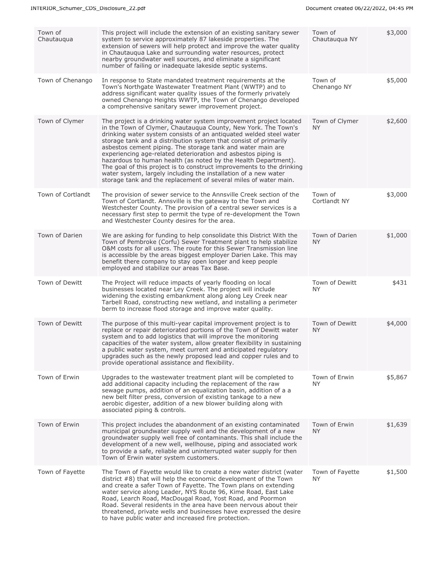| Town of<br>Chautauqua | This project will include the extension of an existing sanitary sewer<br>system to service approximately 87 lakeside properties. The<br>extension of sewers will help protect and improve the water quality<br>in Chautauqua Lake and surrounding water resources, protect<br>nearby groundwater well sources, and eliminate a significant<br>number of failing or inadequate lakeside septic systems.                                                                                                                                                                                                                                                                                           | Town of<br>Chautauqua NY    | \$3,000 |
|-----------------------|--------------------------------------------------------------------------------------------------------------------------------------------------------------------------------------------------------------------------------------------------------------------------------------------------------------------------------------------------------------------------------------------------------------------------------------------------------------------------------------------------------------------------------------------------------------------------------------------------------------------------------------------------------------------------------------------------|-----------------------------|---------|
| Town of Chenango      | In response to State mandated treatment requirements at the<br>Town's Northgate Wastewater Treatment Plant (WWTP) and to<br>address significant water quality issues of the formerly privately<br>owned Chenango Heights WWTP, the Town of Chenango developed<br>a comprehensive sanitary sewer improvement project.                                                                                                                                                                                                                                                                                                                                                                             | Town of<br>Chenango NY      | \$5,000 |
| Town of Clymer        | The project is a drinking water system improvement project located<br>in the Town of Clymer, Chautauqua County, New York. The Town's<br>drinking water system consists of an antiquated welded steel water<br>storage tank and a distribution system that consist of primarily<br>asbestos cement piping. The storage tank and water main are<br>experiencing age-related deterioration and asbestos piping is<br>hazardous to human health (as noted by the Health Department).<br>The goal of this project is to construct improvements to the drinking<br>water system, largely including the installation of a new water<br>storage tank and the replacement of several miles of water main. | Town of Clymer<br>NY.       | \$2,600 |
| Town of Cortlandt     | The provision of sewer service to the Annsville Creek section of the<br>Town of Cortlandt. Annsville is the gateway to the Town and<br>Westchester County. The provision of a central sewer services is a<br>necessary first step to permit the type of re-development the Town<br>and Westchester County desires for the area.                                                                                                                                                                                                                                                                                                                                                                  | Town of<br>Cortlandt NY     | \$3,000 |
| Town of Darien        | We are asking for funding to help consolidate this District With the<br>Town of Pembroke (Corfu) Sewer Treatment plant to help stabilize<br>O&M costs for all users. The route for this Sewer Transmission line<br>is accessible by the areas biggest employer Darien Lake. This may<br>benefit there company to stay open longer and keep people<br>employed and stabilize our areas Tax Base.                                                                                                                                                                                                                                                                                                  | Town of Darien<br><b>NY</b> | \$1,000 |
| Town of Dewitt        | The Project will reduce impacts of yearly flooding on local<br>businesses located near Ley Creek. The project will include<br>widening the existing embankment along along Ley Creek near<br>Tarbell Road, constructing new wetland, and installing a perimeter<br>berm to increase flood storage and improve water quality.                                                                                                                                                                                                                                                                                                                                                                     | Town of Dewitt<br><b>NY</b> | \$431   |
| Town of Dewitt        | The purpose of this multi-year capital improvement project is to<br>replace or repair deteriorated portions of the Town of Dewitt water<br>system and to add logistics that will improve the monitoring<br>capacities of the water system, allow greater flexibility in sustaining<br>a public water system, meet current and anticipated regulatory<br>upgrades such as the newly proposed lead and copper rules and to<br>provide operational assistance and flexibility.                                                                                                                                                                                                                      | Town of Dewitt<br><b>NY</b> | \$4,000 |
| Town of Erwin         | Upgrades to the wastewater treatment plant will be completed to<br>add additional capacity including the replacement of the raw<br>sewage pumps, addition of an equalization basin, addition of a a<br>new belt filter press, conversion of existing tankage to a new<br>aerobic digester, addition of a new blower building along with<br>associated piping & controls.                                                                                                                                                                                                                                                                                                                         | Town of Erwin<br>NY.        | \$5,867 |
| Town of Erwin         | This project includes the abandonment of an existing contaminated<br>municipal groundwater supply well and the development of a new<br>groundwater supply well free of contaminants. This shall include the<br>development of a new well, wellhouse, piping and associated work<br>to provide a safe, reliable and uninterrupted water supply for then<br>Town of Erwin water system customers.                                                                                                                                                                                                                                                                                                  | Town of Erwin<br>NY.        | \$1,639 |
| Town of Fayette       | The Town of Fayette would like to create a new water district (water<br>district #8) that will help the economic development of the Town<br>and create a safer Town of Fayette. The Town plans on extending<br>water service along Leader, NYS Route 96, Kime Road, East Lake<br>Road, Learch Road, MacDougal Road, Yost Road, and Poormon<br>Road. Several residents in the area have been nervous about their<br>threatened, private wells and businesses have expressed the desire<br>to have public water and increased fire protection.                                                                                                                                                     | Town of Fayette<br>NY.      | \$1,500 |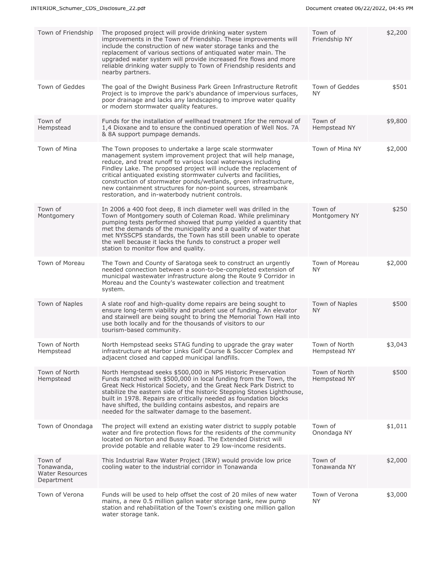| Town of Friendship                                     | The proposed project will provide drinking water system<br>improvements in the Town of Friendship. These improvements will<br>include the construction of new water storage tanks and the<br>replacement of various sections of antiquated water main. The<br>upgraded water system will provide increased fire flows and more<br>reliable drinking water supply to Town of Friendship residents and<br>nearby partners.                                                                                                   | Town of<br>Friendship NY      | \$2,200 |
|--------------------------------------------------------|----------------------------------------------------------------------------------------------------------------------------------------------------------------------------------------------------------------------------------------------------------------------------------------------------------------------------------------------------------------------------------------------------------------------------------------------------------------------------------------------------------------------------|-------------------------------|---------|
| Town of Geddes                                         | The goal of the Dwight Business Park Green Infrastructure Retrofit<br>Project is to improve the park's abundance of impervious surfaces,<br>poor drainage and lacks any landscaping to improve water quality<br>or modern stormwater quality features.                                                                                                                                                                                                                                                                     | Town of Geddes<br><b>NY</b>   | \$501   |
| Town of<br>Hempstead                                   | Funds for the installation of wellhead treatment 1 for the removal of<br>1,4 Dioxane and to ensure the continued operation of Well Nos. 7A<br>& 8A support pumpage demands.                                                                                                                                                                                                                                                                                                                                                | Town of<br>Hempstead NY       | \$9,800 |
| Town of Mina                                           | The Town proposes to undertake a large scale stormwater<br>management system improvement project that will help manage,<br>reduce, and treat runoff to various local waterways including<br>Findley Lake. The proposed project will include the replacement of<br>critical antiquated existing stormwater culverts and facilities,<br>construction of stormwater ponds/wetlands, green infrastructure,<br>new containment structures for non-point sources, streambank<br>restoration, and in-waterbody nutrient controls. | Town of Mina NY               | \$2,000 |
| Town of<br>Montgomery                                  | In 2006 a 400 foot deep, 8 inch diameter well was drilled in the<br>Town of Montgomery south of Coleman Road. While preliminary<br>pumping tests performed showed that pump yielded a quantity that<br>met the demands of the municipality and a quality of water that<br>met NYSSCP5 standards, the Town has still been unable to operate<br>the well because it lacks the funds to construct a proper well<br>station to monitor flow and quality.                                                                       | Town of<br>Montgomery NY      | \$250   |
| Town of Moreau                                         | The Town and County of Saratoga seek to construct an urgently<br>needed connection between a soon-to-be-completed extension of<br>municipal wastewater infrastructure along the Route 9 Corridor in<br>Moreau and the County's wastewater collection and treatment<br>system.                                                                                                                                                                                                                                              | Town of Moreau<br>ΝY          | \$2,000 |
| Town of Naples                                         | A slate roof and high-quality dome repairs are being sought to<br>ensure long-term viability and prudent use of funding. An elevator<br>and stairwell are being sought to bring the Memorial Town Hall into<br>use both locally and for the thousands of visitors to our<br>tourism-based community.                                                                                                                                                                                                                       | Town of Naples<br><b>NY</b>   | \$500   |
| Town of North<br>Hempstead                             | North Hempstead seeks STAG funding to upgrade the gray water<br>infrastructure at Harbor Links Golf Course & Soccer Complex and<br>adjacent closed and capped municipal landfills.                                                                                                                                                                                                                                                                                                                                         | Town of North<br>Hempstead NY | \$3,043 |
| Town of North<br>Hempstead                             | North Hempstead seeks \$500,000 in NPS Historic Preservation<br>Funds matched with \$500,000 in local funding from the Town, the<br>Great Neck Historical Society, and the Great Neck Park District to<br>stabilize the eastern side of the historic Stepping Stones Lighthouse,<br>built in 1978. Repairs are critically needed as foundation blocks<br>have shifted, the building contains asbestos, and repairs are<br>needed for the saltwater damage to the basement.                                                 | Town of North<br>Hempstead NY | \$500   |
| Town of Onondaga                                       | The project will extend an existing water district to supply potable<br>water and fire protection flows for the residents of the community<br>located on Norton and Bussy Road. The Extended District will<br>provide potable and reliable water to 29 low-income residents.                                                                                                                                                                                                                                               | Town of<br>Onondaga NY        | \$1,011 |
| Town of<br>Tonawanda,<br>Water Resources<br>Department | This Industrial Raw Water Project (IRW) would provide low price<br>cooling water to the industrial corridor in Tonawanda                                                                                                                                                                                                                                                                                                                                                                                                   | Town of<br>Tonawanda NY       | \$2,000 |
| Town of Verona                                         | Funds will be used to help offset the cost of 20 miles of new water<br>mains, a new 0.5 million gallon water storage tank, new pump<br>station and rehabilitation of the Town's existing one million gallon<br>water storage tank.                                                                                                                                                                                                                                                                                         | Town of Verona<br><b>NY</b>   | \$3,000 |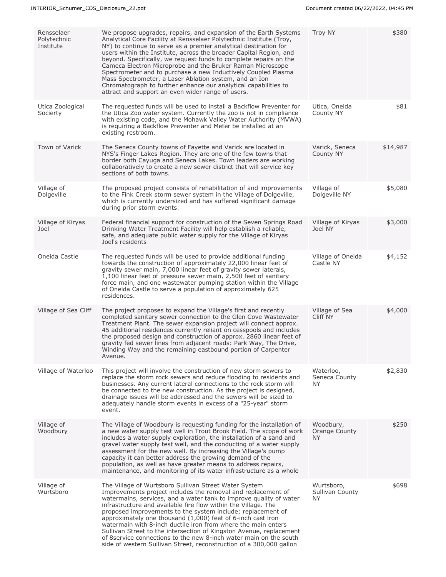| Rensselaer<br>Polytechnic<br>Institute | We propose upgrades, repairs, and expansion of the Earth Systems<br>Analytical Core Facility at Rensselaer Polytechnic Institute (Troy,<br>NY) to continue to serve as a premier analytical destination for<br>users within the Institute, across the broader Capital Region, and<br>beyond. Specifically, we request funds to complete repairs on the<br>Cameca Electron Microprobe and the Bruker Raman Microscope<br>Spectrometer and to purchase a new Inductively Coupled Plasma<br>Mass Spectrometer, a Laser Ablation system, and an Ion<br>Chromatograph to further enhance our analytical capabilities to<br>attract and support an even wider range of users.          | <b>Troy NY</b>                       | \$380    |
|----------------------------------------|----------------------------------------------------------------------------------------------------------------------------------------------------------------------------------------------------------------------------------------------------------------------------------------------------------------------------------------------------------------------------------------------------------------------------------------------------------------------------------------------------------------------------------------------------------------------------------------------------------------------------------------------------------------------------------|--------------------------------------|----------|
| Utica Zoological<br>Socierty           | The requested funds will be used to install a Backflow Preventer for<br>the Utica Zoo water system. Currently the zoo is not in compliance<br>with existing code, and the Mohawk Valley Water Authority (MVWA)<br>is requiring a Backflow Preventer and Meter be installed at an<br>existing restroom.                                                                                                                                                                                                                                                                                                                                                                           | Utica, Oneida<br>County NY           | \$81     |
| Town of Varick                         | The Seneca County towns of Fayette and Varick are located in<br>NYS's Finger Lakes Region. They are one of the few towns that<br>border both Cayuga and Seneca Lakes. Town leaders are working<br>collaboratively to create a new sewer district that will service key<br>sections of both towns.                                                                                                                                                                                                                                                                                                                                                                                | Varick, Seneca<br>County NY          | \$14,987 |
| Village of<br>Dolgeville               | The proposed project consists of rehabilitation of and improvements<br>to the Fink Creek storm sewer system in the Village of Dolgeville,<br>which is currently undersized and has suffered significant damage<br>during prior storm events.                                                                                                                                                                                                                                                                                                                                                                                                                                     | Village of<br>Dolgeville NY          | \$5,080  |
| Village of Kiryas<br>Joel              | Federal financial support for construction of the Seven Springs Road<br>Drinking Water Treatment Facility will help establish a reliable,<br>safe, and adequate public water supply for the Village of Kiryas<br>Joel's residents                                                                                                                                                                                                                                                                                                                                                                                                                                                | Village of Kiryas<br>Joel NY         | \$3,000  |
| Oneida Castle                          | The requested funds will be used to provide additional funding<br>towards the construction of approximately 22,000 linear feet of<br>gravity sewer main, 7,000 linear feet of gravity sewer laterals,<br>1,100 linear feet of pressure sewer main, 2,500 feet of sanitary<br>force main, and one wastewater pumping station within the Village<br>of Oneida Castle to serve a population of approximately 625<br>residences.                                                                                                                                                                                                                                                     | Village of Oneida<br>Castle NY       | \$4,152  |
| Village of Sea Cliff                   | The project proposes to expand the Village's first and recently<br>completed sanitary sewer connection to the Glen Cove Wastewater<br>Treatment Plant. The sewer expansion project will connect approx.<br>45 additional residences currently reliant on cesspools and includes<br>the proposed design and construction of approx. 2860 linear feet of<br>gravity fed sewer lines from adjacent roads: Park Way, The Drive,<br>Winding Way and the remaining eastbound portion of Carpenter<br>Avenue.                                                                                                                                                                           | Village of Sea<br>Cliff NY           | \$4,000  |
| Village of Waterloo                    | This project will involve the construction of new storm sewers to<br>replace the storm rock sewers and reduce flooding to residents and<br>businesses. Any current lateral connections to the rock storm will<br>be connected to the new construction. As the project is designed,<br>drainage issues will be addressed and the sewers will be sized to<br>adequately handle storm events in excess of a "25-year" storm<br>event.                                                                                                                                                                                                                                               | Waterloo,<br>Seneca County<br>NY.    | \$2,830  |
| Village of<br>Woodbury                 | The Village of Woodbury is requesting funding for the installation of<br>a new water supply test well in Trout Brook Field. The scope of work<br>includes a water supply exploration, the installation of a sand and<br>gravel water supply test well, and the conducting of a water supply<br>assessment for the new well. By increasing the Village's pump<br>capacity it can better address the growing demand of the<br>population, as well as have greater means to address repairs,<br>maintenance, and monitoring of its water infrastructure as a whole                                                                                                                  | Woodbury,<br>Orange County<br>NY.    | \$250    |
| Village of<br>Wurtsboro                | The Village of Wurtsboro Sullivan Street Water System<br>Improvements project includes the removal and replacement of<br>watermains, services, and a water tank to improve quality of water<br>infrastructure and available fire flow within the Village. The<br>proposed improvements to the system include; replacement of<br>approximately one thousand (1,000) feet of 6-inch cast iron<br>watermain with 8-inch ductile iron from where the main enters<br>Sullivan Street to the intersection of Kingston Avenue, replacement<br>of 8 service connections to the new 8-inch water main on the south<br>side of western Sullivan Street, reconstruction of a 300,000 gallon | Wurtsboro,<br>Sullivan County<br>NY. | \$698    |